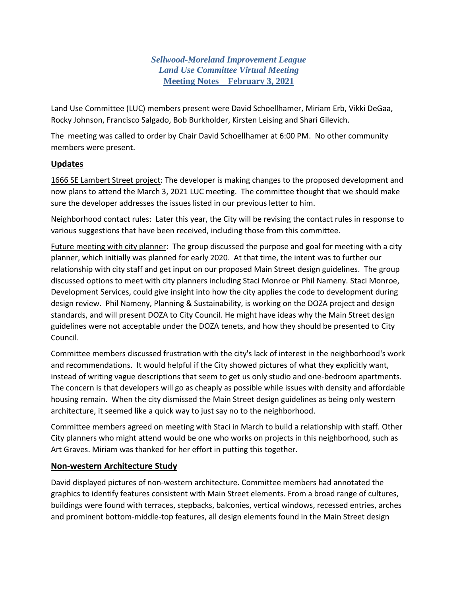*Sellwood-Moreland Improvement League Land Use Committee Virtual Meeting* **Meeting Notes February 3, 2021**

Land Use Committee (LUC) members present were David Schoellhamer, Miriam Erb, Vikki DeGaa, Rocky Johnson, Francisco Salgado, Bob Burkholder, Kirsten Leising and Shari Gilevich.

The meeting was called to order by Chair David Schoellhamer at 6:00 PM. No other community members were present.

## **Updates**

1666 SE Lambert Street project: The developer is making changes to the proposed development and now plans to attend the March 3, 2021 LUC meeting. The committee thought that we should make sure the developer addresses the issues listed in our previous letter to him.

Neighborhood contact rules: Later this year, the City will be revising the contact rules in response to various suggestions that have been received, including those from this committee.

Future meeting with city planner: The group discussed the purpose and goal for meeting with a city planner, which initially was planned for early 2020. At that time, the intent was to further our relationship with city staff and get input on our proposed Main Street design guidelines. The group discussed options to meet with city planners including Staci Monroe or Phil Nameny. Staci Monroe, Development Services, could give insight into how the city applies the code to development during design review. Phil Nameny, Planning & Sustainability, is working on the DOZA project and design standards, and will present DOZA to City Council. He might have ideas why the Main Street design guidelines were not acceptable under the DOZA tenets, and how they should be presented to City Council.

Committee members discussed frustration with the city's lack of interest in the neighborhood's work and recommendations. It would helpful if the City showed pictures of what they explicitly want, instead of writing vague descriptions that seem to get us only studio and one-bedroom apartments. The concern is that developers will go as cheaply as possible while issues with density and affordable housing remain. When the city dismissed the Main Street design guidelines as being only western architecture, it seemed like a quick way to just say no to the neighborhood.

Committee members agreed on meeting with Staci in March to build a relationship with staff. Other City planners who might attend would be one who works on projects in this neighborhood, such as Art Graves. Miriam was thanked for her effort in putting this together.

## **Non-western Architecture Study**

David displayed pictures of non-western architecture. Committee members had annotated the graphics to identify features consistent with Main Street elements. From a broad range of cultures, buildings were found with terraces, stepbacks, balconies, vertical windows, recessed entries, arches and prominent bottom-middle-top features, all design elements found in the Main Street design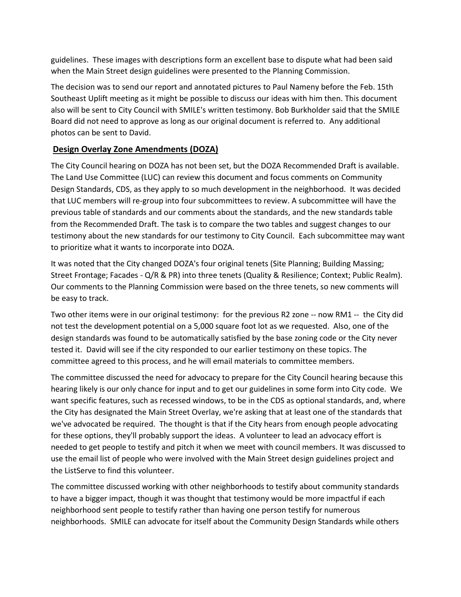guidelines. These images with descriptions form an excellent base to dispute what had been said when the Main Street design guidelines were presented to the Planning Commission.

The decision was to send our report and annotated pictures to Paul Nameny before the Feb. 15th Southeast Uplift meeting as it might be possible to discuss our ideas with him then. This document also will be sent to City Council with SMILE's written testimony. Bob Burkholder said that the SMILE Board did not need to approve as long as our original document is referred to. Any additional photos can be sent to David.

## **Design Overlay Zone Amendments (DOZA)**

The City Council hearing on DOZA has not been set, but the DOZA Recommended Draft is available. The Land Use Committee (LUC) can review this document and focus comments on Community Design Standards, CDS, as they apply to so much development in the neighborhood. It was decided that LUC members will re-group into four subcommittees to review. A subcommittee will have the previous table of standards and our comments about the standards, and the new standards table from the Recommended Draft. The task is to compare the two tables and suggest changes to our testimony about the new standards for our testimony to City Council. Each subcommittee may want to prioritize what it wants to incorporate into DOZA.

It was noted that the City changed DOZA's four original tenets (Site Planning; Building Massing; Street Frontage; Facades - Q/R & PR) into three tenets (Quality & Resilience; Context; Public Realm). Our comments to the Planning Commission were based on the three tenets, so new comments will be easy to track.

Two other items were in our original testimony: for the previous R2 zone -- now RM1 -- the City did not test the development potential on a 5,000 square foot lot as we requested. Also, one of the design standards was found to be automatically satisfied by the base zoning code or the City never tested it. David will see if the city responded to our earlier testimony on these topics. The committee agreed to this process, and he will email materials to committee members.

The committee discussed the need for advocacy to prepare for the City Council hearing because this hearing likely is our only chance for input and to get our guidelines in some form into City code. We want specific features, such as recessed windows, to be in the CDS as optional standards, and, where the City has designated the Main Street Overlay, we're asking that at least one of the standards that we've advocated be required. The thought is that if the City hears from enough people advocating for these options, they'll probably support the ideas. A volunteer to lead an advocacy effort is needed to get people to testify and pitch it when we meet with council members. It was discussed to use the email list of people who were involved with the Main Street design guidelines project and the ListServe to find this volunteer.

The committee discussed working with other neighborhoods to testify about community standards to have a bigger impact, though it was thought that testimony would be more impactful if each neighborhood sent people to testify rather than having one person testify for numerous neighborhoods. SMILE can advocate for itself about the Community Design Standards while others